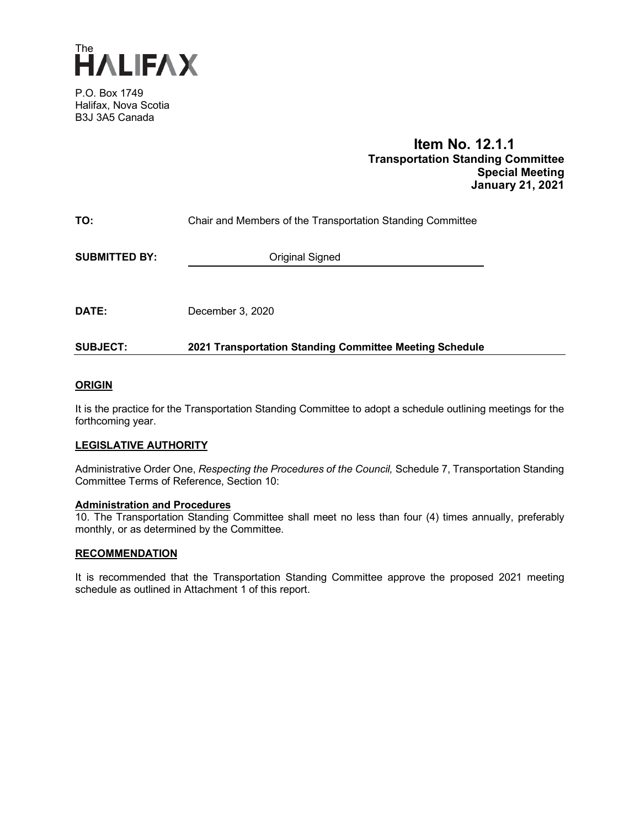

P.O. Box 1749 Halifax, Nova Scotia B3J 3A5 Canada

### **Item No. 12.1.1 Transportation Standing Committee Special Meeting January 21, 2021**

| TO:                  | Chair and Members of the Transportation Standing Committee |  |
|----------------------|------------------------------------------------------------|--|
| <b>SUBMITTED BY:</b> | Original Signed                                            |  |
|                      |                                                            |  |
| <b>DATE:</b>         | December 3, 2020                                           |  |

### **SUBJECT: 2021 Transportation Standing Committee Meeting Schedule**

#### **ORIGIN**

It is the practice for the Transportation Standing Committee to adopt a schedule outlining meetings for the forthcoming year.

#### **LEGISLATIVE AUTHORITY**

Administrative Order One, *Respecting the Procedures of the Council,* Schedule 7, Transportation Standing Committee Terms of Reference, Section 10:

## **Administration and Procedures**

10. The Transportation Standing Committee shall meet no less than four (4) times annually, preferably monthly, or as determined by the Committee.

#### **RECOMMENDATION**

It is recommended that the Transportation Standing Committee approve the proposed 2021 meeting schedule as outlined in Attachment 1 of this report.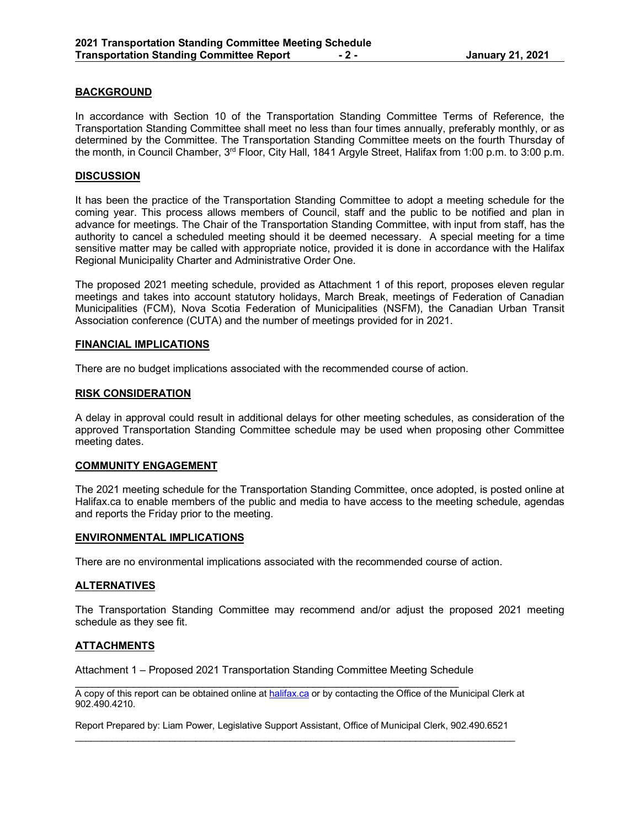#### **BACKGROUND**

In accordance with Section 10 of the Transportation Standing Committee Terms of Reference, the Transportation Standing Committee shall meet no less than four times annually, preferably monthly, or as determined by the Committee. The Transportation Standing Committee meets on the fourth Thursday of the month, in Council Chamber, 3<sup>rd</sup> Floor, City Hall, 1841 Argyle Street, Halifax from 1:00 p.m. to 3:00 p.m.

#### **DISCUSSION**

It has been the practice of the Transportation Standing Committee to adopt a meeting schedule for the coming year. This process allows members of Council, staff and the public to be notified and plan in advance for meetings. The Chair of the Transportation Standing Committee, with input from staff, has the authority to cancel a scheduled meeting should it be deemed necessary. A special meeting for a time sensitive matter may be called with appropriate notice, provided it is done in accordance with the Halifax Regional Municipality Charter and Administrative Order One.

The proposed 2021 meeting schedule, provided as Attachment 1 of this report, proposes eleven regular meetings and takes into account statutory holidays, March Break, meetings of Federation of Canadian Municipalities (FCM), Nova Scotia Federation of Municipalities (NSFM), the Canadian Urban Transit Association conference (CUTA) and the number of meetings provided for in 2021.

#### **FINANCIAL IMPLICATIONS**

There are no budget implications associated with the recommended course of action.

#### **RISK CONSIDERATION**

A delay in approval could result in additional delays for other meeting schedules, as consideration of the approved Transportation Standing Committee schedule may be used when proposing other Committee meeting dates.

#### **COMMUNITY ENGAGEMENT**

The 2021 meeting schedule for the Transportation Standing Committee, once adopted, is posted online at Halifax.ca to enable members of the public and media to have access to the meeting schedule, agendas and reports the Friday prior to the meeting.

#### **ENVIRONMENTAL IMPLICATIONS**

There are no environmental implications associated with the recommended course of action.

#### **ALTERNATIVES**

The Transportation Standing Committee may recommend and/or adjust the proposed 2021 meeting schedule as they see fit.

#### **ATTACHMENTS**

Attachment 1 – Proposed 2021 Transportation Standing Committee Meeting Schedule

\_\_\_\_\_\_\_\_\_\_\_\_\_\_\_\_\_\_\_\_\_\_\_\_\_\_\_\_\_\_\_\_\_\_\_\_\_\_\_\_\_\_\_\_\_\_\_\_\_\_\_\_\_\_\_\_\_\_\_\_\_\_\_\_\_\_

A copy of this report can be obtained online a[t halifax.ca](http://www.halifax.ca/) or by contacting the Office of the Municipal Clerk at 902.490.4210.

Report Prepared by: Liam Power, Legislative Support Assistant, Office of Municipal Clerk, 902.490.6521  $\_$  , and the state of the state of the state of the state of the state of the state of the state of the state of the state of the state of the state of the state of the state of the state of the state of the state of the